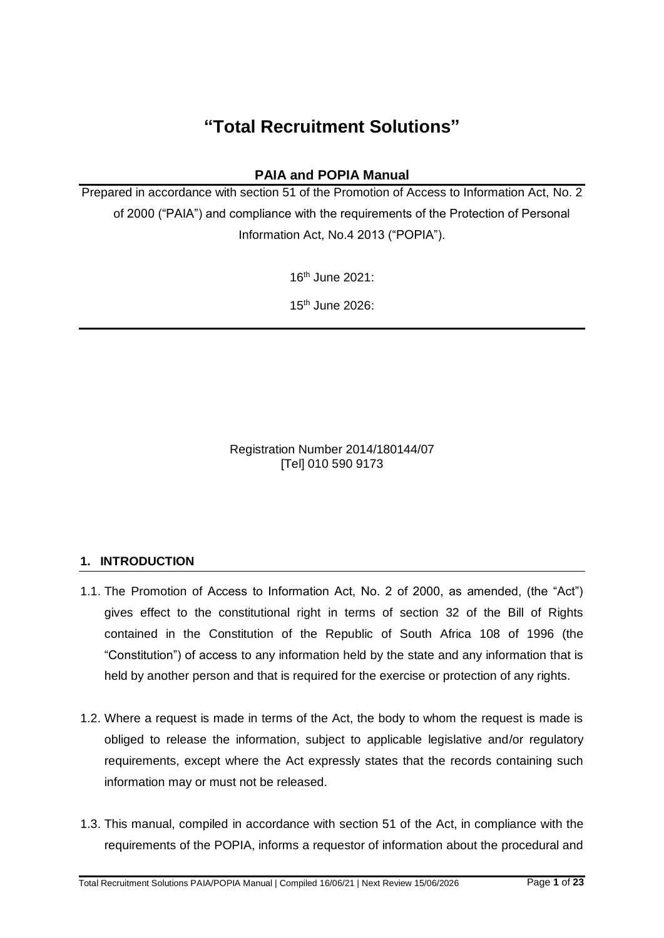# **"Total Recruitment Solutions"**

# **PAIA and POPIA Manual**

Prepared in accordance with section 51 of the Promotion of Access to Information Act, No. 2 of 2000 ("PAIA") and compliance with the requirements of the Protection of Personal Information Act, No.4 2013 ("POPIA").

16th June 2021:

15th June 2026:

Registration Number 2014/180144/07 [Tel] 010 590 9173

#### **1. INTRODUCTION**

- 1.1. The Promotion of Access to Information Act, No. 2 of 2000, as amended, (the "Act") gives effect to the constitutional right in terms of section 32 of the Bill of Rights contained in the Constitution of the Republic of South Africa 108 of 1996 (the "Constitution") of access to any information held by the state and any information that is held by another person and that is required for the exercise or protection of any rights.
- 1.2. Where a request is made in terms of the Act, the body to whom the request is made is obliged to release the information, subject to applicable legislative and/or regulatory requirements, except where the Act expressly states that the records containing such information may or must not be released.
- 1.3. This manual, compiled in accordance with section 51 of the Act, in compliance with the requirements of the POPIA, informs a requestor of information about the procedural and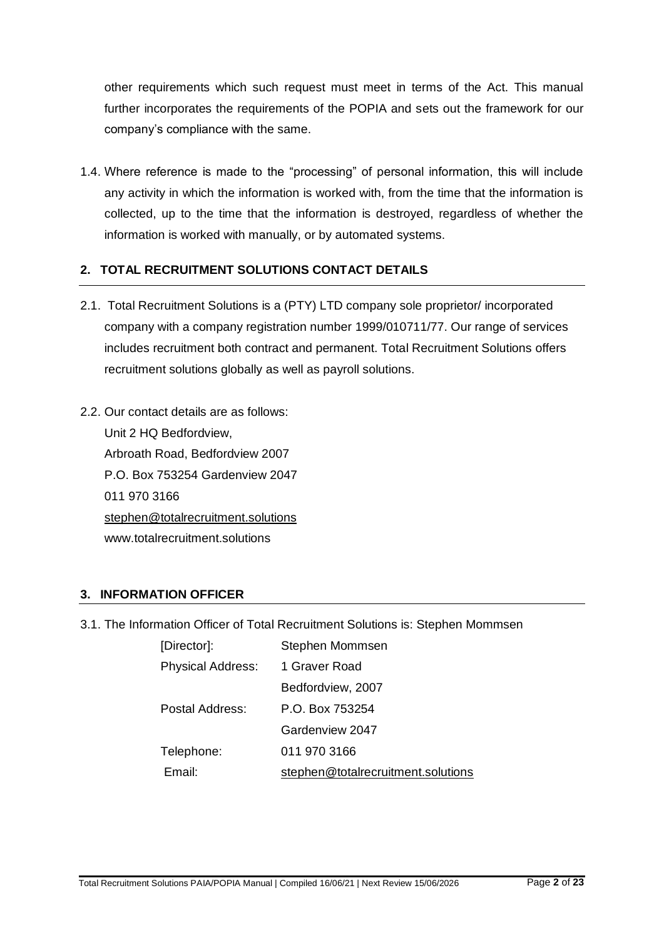other requirements which such request must meet in terms of the Act. This manual further incorporates the requirements of the POPIA and sets out the framework for our company's compliance with the same.

1.4. Where reference is made to the "processing" of personal information, this will include any activity in which the information is worked with, from the time that the information is collected, up to the time that the information is destroyed, regardless of whether the information is worked with manually, or by automated systems.

# **2. TOTAL RECRUITMENT SOLUTIONS CONTACT DETAILS**

- 2.1. Total Recruitment Solutions is a (PTY) LTD company sole proprietor/ incorporated company with a company registration number 1999/010711/77. Our range of services includes recruitment both contract and permanent. Total Recruitment Solutions offers recruitment solutions globally as well as payroll solutions.
- 2.2. Our contact details are as follows: Unit 2 HQ Bedfordview, Arbroath Road, Bedfordview 2007 P.O. Box 753254 Gardenview 2047 011 970 3166 stephen@totalrecruitment.solutions www.totalrecruitment.solutions

#### **3. INFORMATION OFFICER**

3.1. The Information Officer of Total Recruitment Solutions is: Stephen Mommsen

| [Director]:              | Stephen Mommsen                    |
|--------------------------|------------------------------------|
| <b>Physical Address:</b> | 1 Graver Road                      |
|                          | Bedfordview, 2007                  |
| Postal Address:          | P.O. Box 753254                    |
|                          | Gardenview 2047                    |
| Telephone:               | 011 970 3166                       |
| Email:                   | stephen@totalrecruitment.solutions |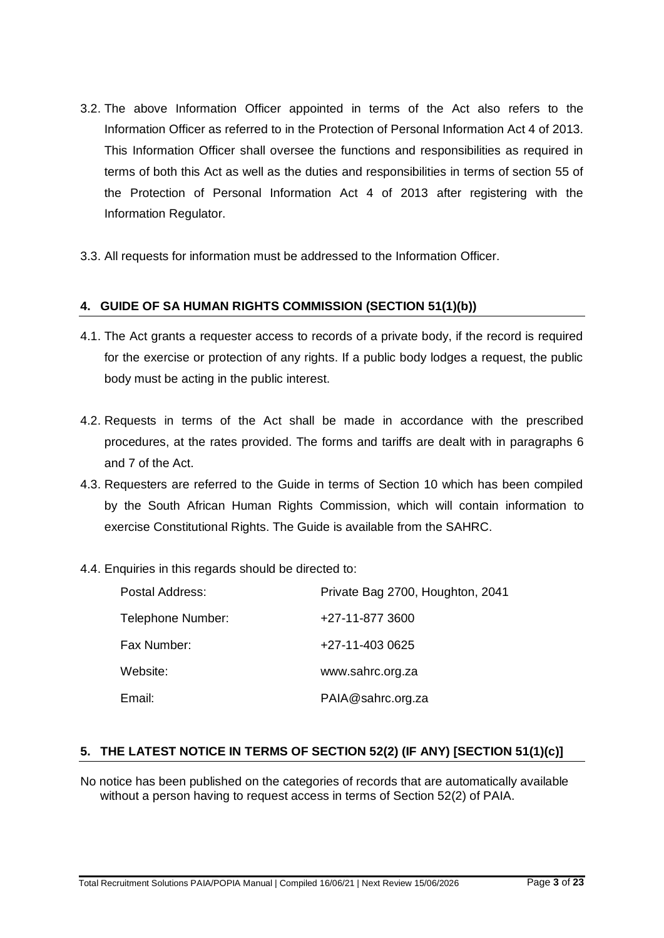- 3.2. The above Information Officer appointed in terms of the Act also refers to the Information Officer as referred to in the Protection of Personal Information Act 4 of 2013. This Information Officer shall oversee the functions and responsibilities as required in terms of both this Act as well as the duties and responsibilities in terms of section 55 of the Protection of Personal Information Act 4 of 2013 after registering with the Information Regulator.
- 3.3. All requests for information must be addressed to the Information Officer.

#### **4. GUIDE OF SA HUMAN RIGHTS COMMISSION (SECTION 51(1)(b))**

- 4.1. The Act grants a requester access to records of a private body, if the record is required for the exercise or protection of any rights. If a public body lodges a request, the public body must be acting in the public interest.
- 4.2. Requests in terms of the Act shall be made in accordance with the prescribed procedures, at the rates provided. The forms and tariffs are dealt with in paragraphs 6 and 7 of the Act.
- 4.3. Requesters are referred to the Guide in terms of Section 10 which has been compiled by the South African Human Rights Commission, which will contain information to exercise Constitutional Rights. The Guide is available from the SAHRC.
- 4.4. Enquiries in this regards should be directed to:

| Postal Address:   | Private Bag 2700, Houghton, 2041 |
|-------------------|----------------------------------|
| Telephone Number: | +27-11-877 3600                  |
| Fax Number:       | +27-11-403 0625                  |
| Website:          | www.sahrc.org.za                 |
| Email:            | PAIA@sahrc.org.za                |

#### **5. THE LATEST NOTICE IN TERMS OF SECTION 52(2) (IF ANY) [SECTION 51(1)(c)]**

No notice has been published on the categories of records that are automatically available without a person having to request access in terms of Section 52(2) of PAIA.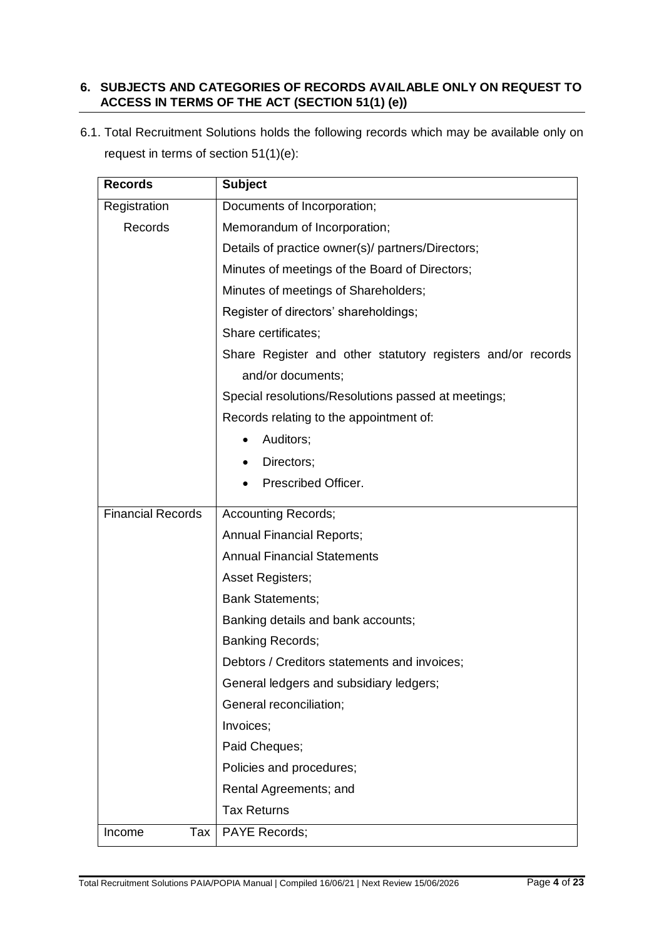### **6. SUBJECTS AND CATEGORIES OF RECORDS AVAILABLE ONLY ON REQUEST TO ACCESS IN TERMS OF THE ACT (SECTION 51(1) (e))**

6.1. Total Recruitment Solutions holds the following records which may be available only on request in terms of section 51(1)(e):

| <b>Records</b>           | <b>Subject</b>                                              |  |
|--------------------------|-------------------------------------------------------------|--|
| Registration             | Documents of Incorporation;                                 |  |
| Records                  | Memorandum of Incorporation;                                |  |
|                          | Details of practice owner(s)/ partners/Directors;           |  |
|                          | Minutes of meetings of the Board of Directors;              |  |
|                          | Minutes of meetings of Shareholders;                        |  |
|                          | Register of directors' shareholdings;                       |  |
|                          | Share certificates;                                         |  |
|                          | Share Register and other statutory registers and/or records |  |
|                          | and/or documents;                                           |  |
|                          | Special resolutions/Resolutions passed at meetings;         |  |
|                          | Records relating to the appointment of:                     |  |
|                          | Auditors;                                                   |  |
|                          | Directors;                                                  |  |
|                          | Prescribed Officer.                                         |  |
| <b>Financial Records</b> | <b>Accounting Records;</b>                                  |  |
|                          | <b>Annual Financial Reports;</b>                            |  |
|                          | <b>Annual Financial Statements</b>                          |  |
|                          | Asset Registers;                                            |  |
|                          | <b>Bank Statements;</b>                                     |  |
|                          | Banking details and bank accounts;                          |  |
|                          | <b>Banking Records;</b>                                     |  |
|                          | Debtors / Creditors statements and invoices;                |  |
|                          | General ledgers and subsidiary ledgers;                     |  |
|                          | General reconciliation;                                     |  |
|                          | Invoices;                                                   |  |
|                          | Paid Cheques;                                               |  |
|                          | Policies and procedures;                                    |  |
|                          | Rental Agreements; and                                      |  |
|                          | <b>Tax Returns</b>                                          |  |
| Tax<br>Income            | PAYE Records;                                               |  |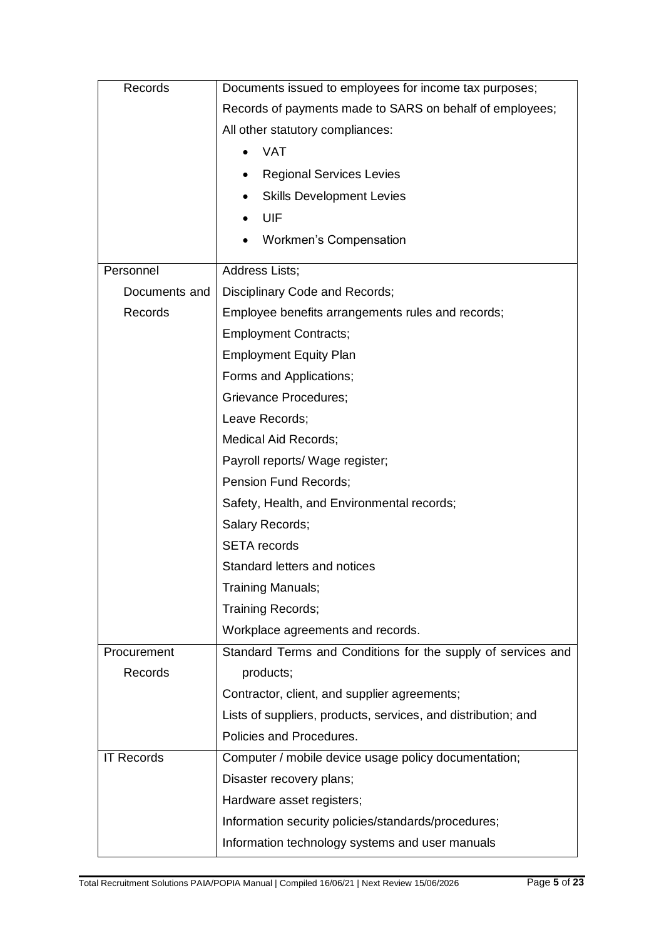| Records           | Documents issued to employees for income tax purposes;        |
|-------------------|---------------------------------------------------------------|
|                   | Records of payments made to SARS on behalf of employees;      |
|                   | All other statutory compliances:                              |
|                   | <b>VAT</b>                                                    |
|                   | <b>Regional Services Levies</b>                               |
|                   | <b>Skills Development Levies</b>                              |
|                   | UIF                                                           |
|                   | <b>Workmen's Compensation</b>                                 |
| Personnel         | Address Lists;                                                |
| Documents and     | Disciplinary Code and Records;                                |
| Records           | Employee benefits arrangements rules and records;             |
|                   | <b>Employment Contracts;</b>                                  |
|                   | <b>Employment Equity Plan</b>                                 |
|                   | Forms and Applications;                                       |
|                   | Grievance Procedures;                                         |
|                   | Leave Records;                                                |
|                   | <b>Medical Aid Records;</b>                                   |
|                   | Payroll reports/ Wage register;                               |
|                   | Pension Fund Records;                                         |
|                   | Safety, Health, and Environmental records;                    |
|                   | Salary Records;                                               |
|                   | <b>SETA</b> records                                           |
|                   | Standard letters and notices                                  |
|                   | Training Manuals;                                             |
|                   | Training Records;                                             |
|                   | Workplace agreements and records.                             |
| Procurement       | Standard Terms and Conditions for the supply of services and  |
| Records           | products;                                                     |
|                   | Contractor, client, and supplier agreements;                  |
|                   | Lists of suppliers, products, services, and distribution; and |
|                   | Policies and Procedures.                                      |
| <b>IT Records</b> | Computer / mobile device usage policy documentation;          |
|                   | Disaster recovery plans;                                      |
|                   | Hardware asset registers;                                     |
|                   | Information security policies/standards/procedures;           |
|                   | Information technology systems and user manuals               |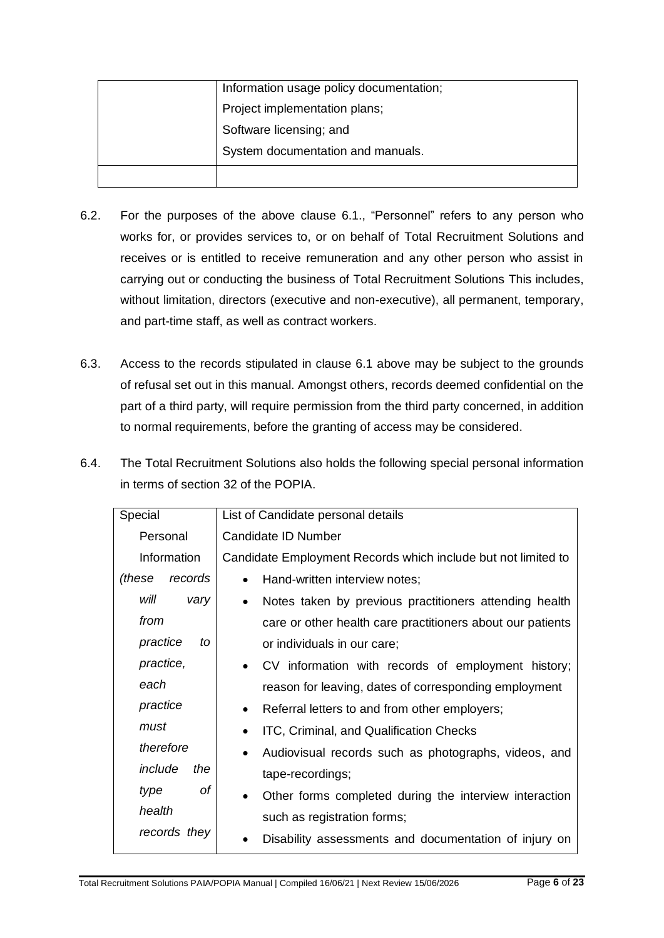| Information usage policy documentation; |
|-----------------------------------------|
| Project implementation plans;           |
| Software licensing; and                 |
| System documentation and manuals.       |
|                                         |

- 6.2. For the purposes of the above clause 6.1., "Personnel" refers to any person who works for, or provides services to, or on behalf of Total Recruitment Solutions and receives or is entitled to receive remuneration and any other person who assist in carrying out or conducting the business of Total Recruitment Solutions This includes, without limitation, directors (executive and non-executive), all permanent, temporary, and part-time staff, as well as contract workers.
- 6.3. Access to the records stipulated in clause 6.1 above may be subject to the grounds of refusal set out in this manual. Amongst others, records deemed confidential on the part of a third party, will require permission from the third party concerned, in addition to normal requirements, before the granting of access may be considered.
- 6.4. The Total Recruitment Solutions also holds the following special personal information in terms of section 32 of the POPIA.

| Special           | List of Candidate personal details                                  |
|-------------------|---------------------------------------------------------------------|
| Personal          | Candidate ID Number                                                 |
| Information       | Candidate Employment Records which include but not limited to       |
| (these<br>records | Hand-written interview notes;<br>$\bullet$                          |
| will<br>vary      | Notes taken by previous practitioners attending health<br>$\bullet$ |
| from              | care or other health care practitioners about our patients          |
| practice<br>to    | or individuals in our care;                                         |
| practice,         | CV information with records of employment history;<br>$\bullet$     |
| each              | reason for leaving, dates of corresponding employment               |
| practice          | Referral letters to and from other employers;<br>$\bullet$          |
| must              | ITC, Criminal, and Qualification Checks                             |
| therefore         | Audiovisual records such as photographs, videos, and<br>$\bullet$   |
| include<br>the    | tape-recordings;                                                    |
| оf<br>type        | Other forms completed during the interview interaction<br>$\bullet$ |
| health            | such as registration forms;                                         |
| records they      | Disability assessments and documentation of injury on               |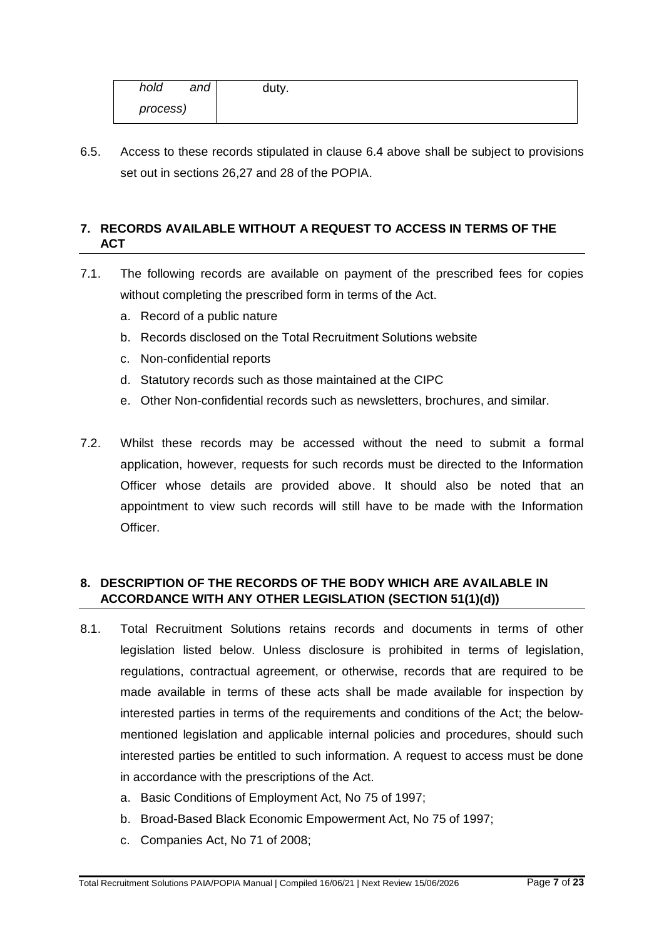| hold<br>and | duty. |
|-------------|-------|
| process)    |       |

6.5. Access to these records stipulated in clause 6.4 above shall be subject to provisions set out in sections 26,27 and 28 of the POPIA.

### **7. RECORDS AVAILABLE WITHOUT A REQUEST TO ACCESS IN TERMS OF THE ACT**

- 7.1. The following records are available on payment of the prescribed fees for copies without completing the prescribed form in terms of the Act.
	- a. Record of a public nature
	- b. Records disclosed on the Total Recruitment Solutions website
	- c. Non-confidential reports
	- d. Statutory records such as those maintained at the CIPC
	- e. Other Non-confidential records such as newsletters, brochures, and similar.
- 7.2. Whilst these records may be accessed without the need to submit a formal application, however, requests for such records must be directed to the Information Officer whose details are provided above. It should also be noted that an appointment to view such records will still have to be made with the Information Officer.

# **8. DESCRIPTION OF THE RECORDS OF THE BODY WHICH ARE AVAILABLE IN ACCORDANCE WITH ANY OTHER LEGISLATION (SECTION 51(1)(d))**

- 8.1. Total Recruitment Solutions retains records and documents in terms of other legislation listed below. Unless disclosure is prohibited in terms of legislation, regulations, contractual agreement, or otherwise, records that are required to be made available in terms of these acts shall be made available for inspection by interested parties in terms of the requirements and conditions of the Act; the belowmentioned legislation and applicable internal policies and procedures, should such interested parties be entitled to such information. A request to access must be done in accordance with the prescriptions of the Act.
	- a. Basic Conditions of Employment Act, No 75 of 1997;
	- b. Broad-Based Black Economic Empowerment Act, No 75 of 1997;
	- c. Companies Act, No 71 of 2008;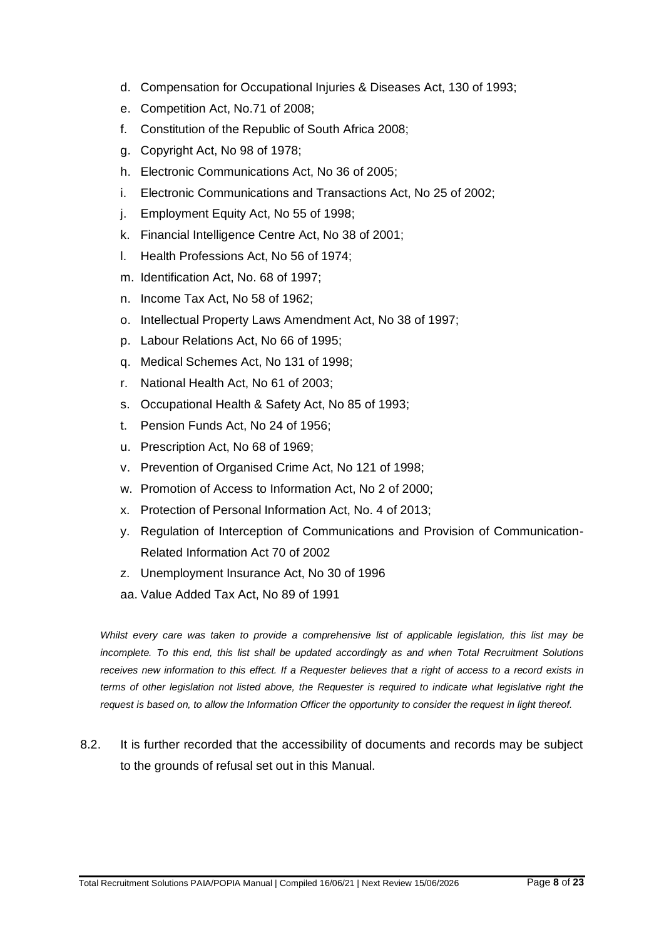- d. Compensation for Occupational Injuries & Diseases Act, 130 of 1993;
- e. Competition Act, No.71 of 2008;
- f. Constitution of the Republic of South Africa 2008;
- g. Copyright Act, No 98 of 1978;
- h. Electronic Communications Act, No 36 of 2005;
- i. Electronic Communications and Transactions Act, No 25 of 2002;
- j. Employment Equity Act, No 55 of 1998;
- k. Financial Intelligence Centre Act, No 38 of 2001;
- l. Health Professions Act, No 56 of 1974;
- m. Identification Act, No. 68 of 1997;
- n. Income Tax Act, No 58 of 1962;
- o. Intellectual Property Laws Amendment Act, No 38 of 1997;
- p. Labour Relations Act, No 66 of 1995;
- q. Medical Schemes Act, No 131 of 1998;
- r. National Health Act, No 61 of 2003;
- s. Occupational Health & Safety Act, No 85 of 1993;
- t. Pension Funds Act, No 24 of 1956;
- u. Prescription Act, No 68 of 1969;
- v. Prevention of Organised Crime Act, No 121 of 1998;
- w. Promotion of Access to Information Act, No 2 of 2000;
- x. Protection of Personal Information Act, No. 4 of 2013;
- y. Regulation of Interception of Communications and Provision of Communication-Related Information Act 70 of 2002
- z. Unemployment Insurance Act, No 30 of 1996
- aa. Value Added Tax Act, No 89 of 1991

*Whilst every care was taken to provide a comprehensive list of applicable legislation, this list may be incomplete. To this end, this list shall be updated accordingly as and when Total Recruitment Solutions receives new information to this effect. If a Requester believes that a right of access to a record exists in terms of other legislation not listed above, the Requester is required to indicate what legislative right the request is based on, to allow the Information Officer the opportunity to consider the request in light thereof.*

8.2. It is further recorded that the accessibility of documents and records may be subject to the grounds of refusal set out in this Manual.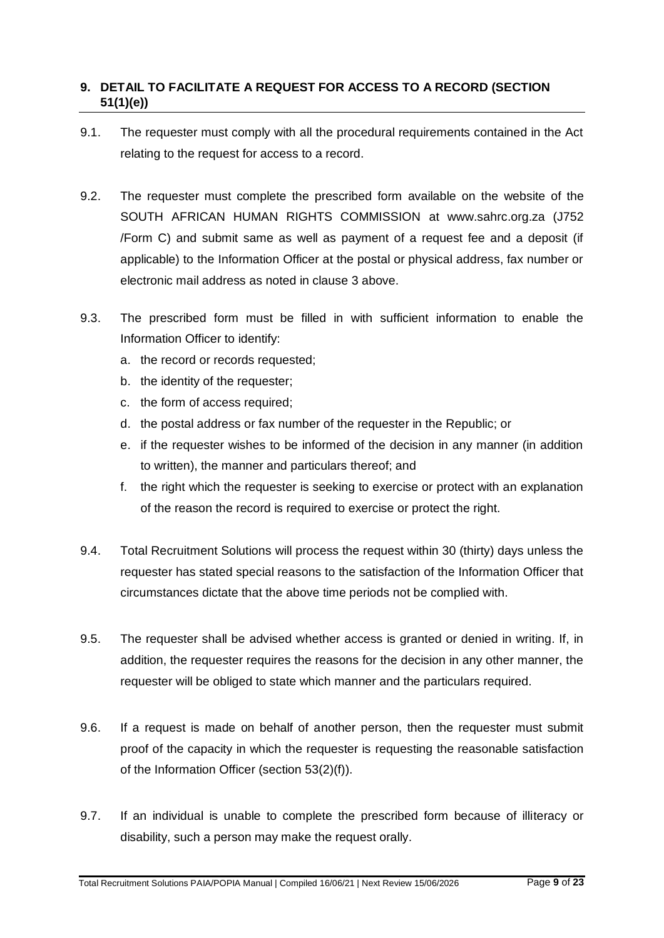# **9. DETAIL TO FACILITATE A REQUEST FOR ACCESS TO A RECORD (SECTION 51(1)(e))**

- 9.1. The requester must comply with all the procedural requirements contained in the Act relating to the request for access to a record.
- 9.2. The requester must complete the prescribed form available on the website of the SOUTH AFRICAN HUMAN RIGHTS COMMISSION at www.sahrc.org.za (J752 /Form C) and submit same as well as payment of a request fee and a deposit (if applicable) to the Information Officer at the postal or physical address, fax number or electronic mail address as noted in clause 3 above.
- 9.3. The prescribed form must be filled in with sufficient information to enable the Information Officer to identify:
	- a. the record or records requested;
	- b. the identity of the requester;
	- c. the form of access required;
	- d. the postal address or fax number of the requester in the Republic; or
	- e. if the requester wishes to be informed of the decision in any manner (in addition to written), the manner and particulars thereof; and
	- f. the right which the requester is seeking to exercise or protect with an explanation of the reason the record is required to exercise or protect the right.
- 9.4. Total Recruitment Solutions will process the request within 30 (thirty) days unless the requester has stated special reasons to the satisfaction of the Information Officer that circumstances dictate that the above time periods not be complied with.
- 9.5. The requester shall be advised whether access is granted or denied in writing. If, in addition, the requester requires the reasons for the decision in any other manner, the requester will be obliged to state which manner and the particulars required.
- 9.6. If a request is made on behalf of another person, then the requester must submit proof of the capacity in which the requester is requesting the reasonable satisfaction of the Information Officer (section 53(2)(f)).
- 9.7. If an individual is unable to complete the prescribed form because of illiteracy or disability, such a person may make the request orally.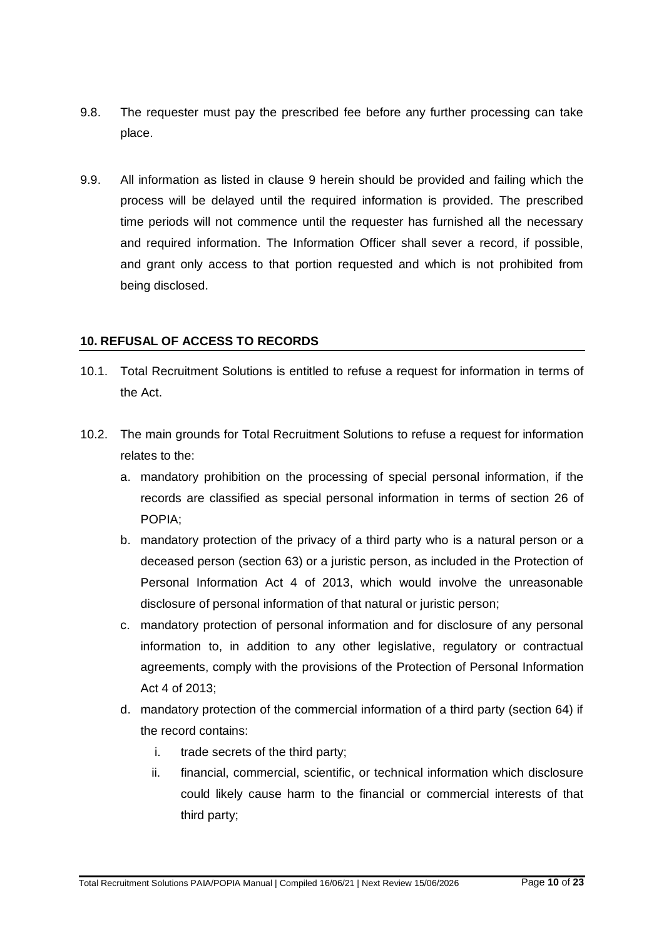- 9.8. The requester must pay the prescribed fee before any further processing can take place.
- 9.9. All information as listed in clause 9 herein should be provided and failing which the process will be delayed until the required information is provided. The prescribed time periods will not commence until the requester has furnished all the necessary and required information. The Information Officer shall sever a record, if possible, and grant only access to that portion requested and which is not prohibited from being disclosed.

#### **10. REFUSAL OF ACCESS TO RECORDS**

- 10.1. Total Recruitment Solutions is entitled to refuse a request for information in terms of the Act.
- 10.2. The main grounds for Total Recruitment Solutions to refuse a request for information relates to the:
	- a. mandatory prohibition on the processing of special personal information, if the records are classified as special personal information in terms of section 26 of POPIA;
	- b. mandatory protection of the privacy of a third party who is a natural person or a deceased person (section 63) or a juristic person, as included in the Protection of Personal Information Act 4 of 2013, which would involve the unreasonable disclosure of personal information of that natural or juristic person;
	- c. mandatory protection of personal information and for disclosure of any personal information to, in addition to any other legislative, regulatory or contractual agreements, comply with the provisions of the Protection of Personal Information Act 4 of 2013;
	- d. mandatory protection of the commercial information of a third party (section 64) if the record contains:
		- i. trade secrets of the third party;
		- ii. financial, commercial, scientific, or technical information which disclosure could likely cause harm to the financial or commercial interests of that third party;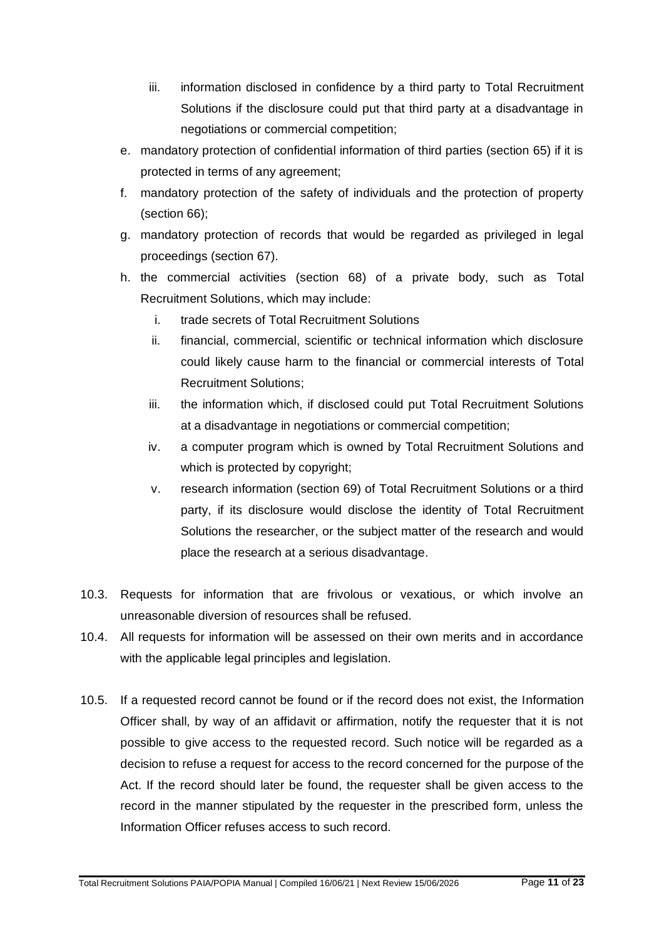- iii. information disclosed in confidence by a third party to Total Recruitment Solutions if the disclosure could put that third party at a disadvantage in negotiations or commercial competition;
- e. mandatory protection of confidential information of third parties (section 65) if it is protected in terms of any agreement;
- f. mandatory protection of the safety of individuals and the protection of property (section 66);
- g. mandatory protection of records that would be regarded as privileged in legal proceedings (section 67).
- h. the commercial activities (section 68) of a private body, such as Total Recruitment Solutions, which may include:
	- i. trade secrets of Total Recruitment Solutions
	- ii. financial, commercial, scientific or technical information which disclosure could likely cause harm to the financial or commercial interests of Total Recruitment Solutions;
	- iii. the information which, if disclosed could put Total Recruitment Solutions at a disadvantage in negotiations or commercial competition;
	- iv. a computer program which is owned by Total Recruitment Solutions and which is protected by copyright;
	- v. research information (section 69) of Total Recruitment Solutions or a third party, if its disclosure would disclose the identity of Total Recruitment Solutions the researcher, or the subject matter of the research and would place the research at a serious disadvantage.
- 10.3. Requests for information that are frivolous or vexatious, or which involve an unreasonable diversion of resources shall be refused.
- 10.4. All requests for information will be assessed on their own merits and in accordance with the applicable legal principles and legislation.
- 10.5. If a requested record cannot be found or if the record does not exist, the Information Officer shall, by way of an affidavit or affirmation, notify the requester that it is not possible to give access to the requested record. Such notice will be regarded as a decision to refuse a request for access to the record concerned for the purpose of the Act. If the record should later be found, the requester shall be given access to the record in the manner stipulated by the requester in the prescribed form, unless the Information Officer refuses access to such record.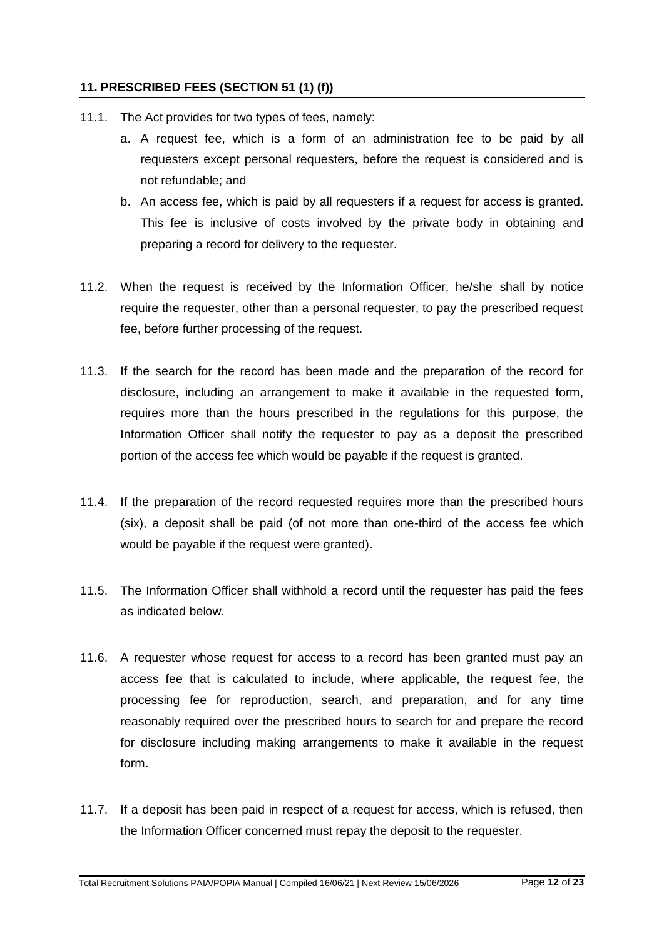#### **11. PRESCRIBED FEES (SECTION 51 (1) (f))**

- 11.1. The Act provides for two types of fees, namely:
	- a. A request fee, which is a form of an administration fee to be paid by all requesters except personal requesters, before the request is considered and is not refundable; and
	- b. An access fee, which is paid by all requesters if a request for access is granted. This fee is inclusive of costs involved by the private body in obtaining and preparing a record for delivery to the requester.
- 11.2. When the request is received by the Information Officer, he/she shall by notice require the requester, other than a personal requester, to pay the prescribed request fee, before further processing of the request.
- 11.3. If the search for the record has been made and the preparation of the record for disclosure, including an arrangement to make it available in the requested form, requires more than the hours prescribed in the regulations for this purpose, the Information Officer shall notify the requester to pay as a deposit the prescribed portion of the access fee which would be payable if the request is granted.
- 11.4. If the preparation of the record requested requires more than the prescribed hours (six), a deposit shall be paid (of not more than one-third of the access fee which would be payable if the request were granted).
- 11.5. The Information Officer shall withhold a record until the requester has paid the fees as indicated below.
- 11.6. A requester whose request for access to a record has been granted must pay an access fee that is calculated to include, where applicable, the request fee, the processing fee for reproduction, search, and preparation, and for any time reasonably required over the prescribed hours to search for and prepare the record for disclosure including making arrangements to make it available in the request form.
- 11.7. If a deposit has been paid in respect of a request for access, which is refused, then the Information Officer concerned must repay the deposit to the requester.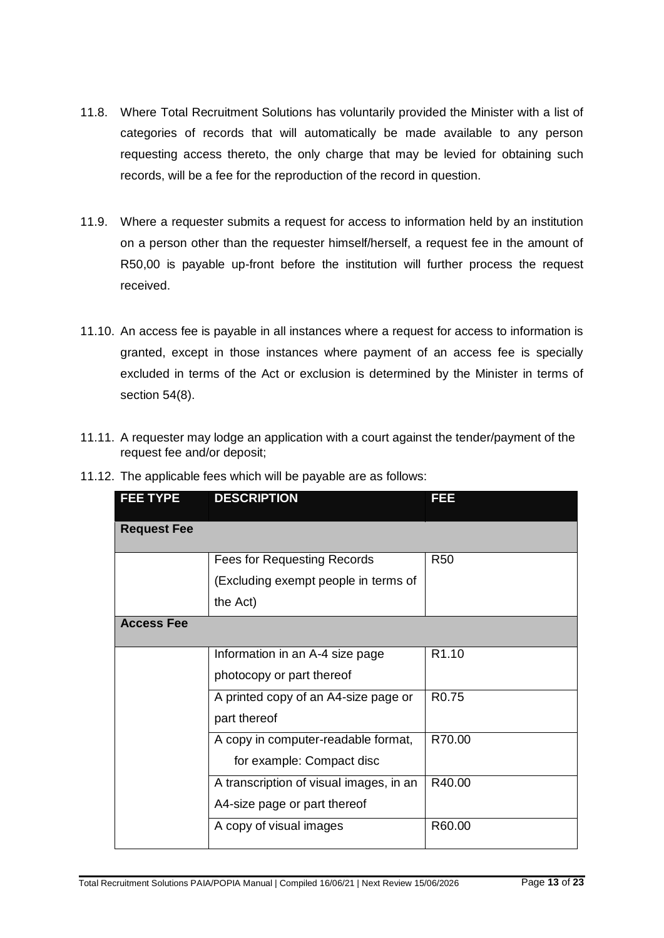- 11.8. Where Total Recruitment Solutions has voluntarily provided the Minister with a list of categories of records that will automatically be made available to any person requesting access thereto, the only charge that may be levied for obtaining such records, will be a fee for the reproduction of the record in question.
- 11.9. Where a requester submits a request for access to information held by an institution on a person other than the requester himself/herself, a request fee in the amount of R50,00 is payable up-front before the institution will further process the request received.
- 11.10. An access fee is payable in all instances where a request for access to information is granted, except in those instances where payment of an access fee is specially excluded in terms of the Act or exclusion is determined by the Minister in terms of section 54(8).
- 11.11. A requester may lodge an application with a court against the tender/payment of the request fee and/or deposit;

| <b>FEE TYPE</b>    | <b>DESCRIPTION</b>                                                                     | FEE               |
|--------------------|----------------------------------------------------------------------------------------|-------------------|
| <b>Request Fee</b> |                                                                                        |                   |
|                    | <b>Fees for Requesting Records</b><br>(Excluding exempt people in terms of<br>the Act) | R <sub>50</sub>   |
| <b>Access Fee</b>  |                                                                                        |                   |
|                    | Information in an A-4 size page<br>photocopy or part thereof                           | R <sub>1.10</sub> |
|                    | A printed copy of an A4-size page or<br>part thereof                                   | R <sub>0.75</sub> |
|                    | A copy in computer-readable format,<br>for example: Compact disc                       | R70.00            |
|                    | A transcription of visual images, in an<br>A4-size page or part thereof                | R40.00            |
|                    | A copy of visual images                                                                | R60.00            |

11.12. The applicable fees which will be payable are as follows: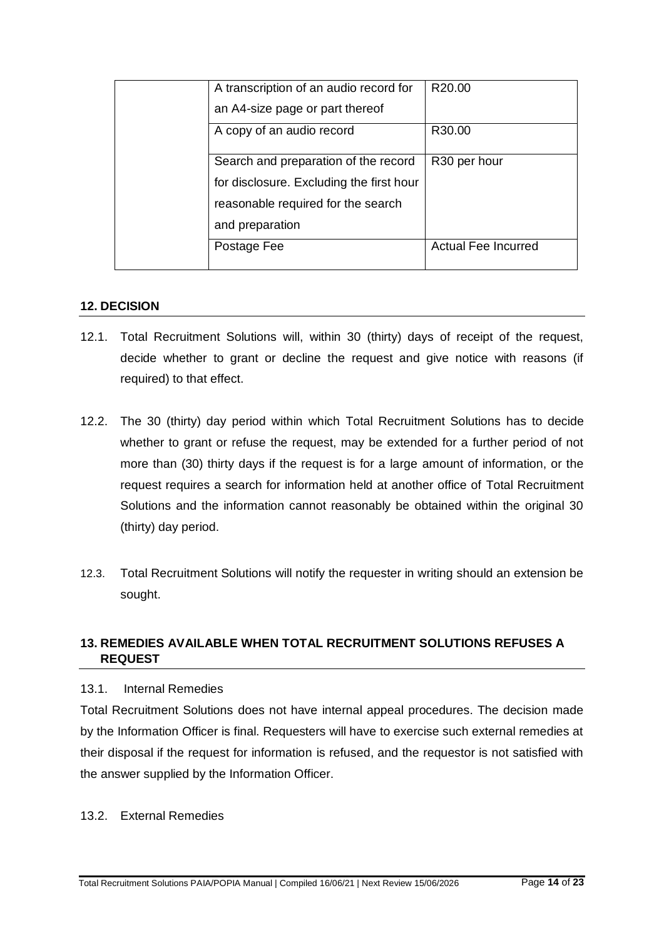| A transcription of an audio record for   | R20.00                     |
|------------------------------------------|----------------------------|
| an A4-size page or part thereof          |                            |
| A copy of an audio record                | R30.00                     |
| Search and preparation of the record     | R <sub>30</sub> per hour   |
| for disclosure. Excluding the first hour |                            |
| reasonable required for the search       |                            |
| and preparation                          |                            |
| Postage Fee                              | <b>Actual Fee Incurred</b> |

#### **12. DECISION**

- 12.1. Total Recruitment Solutions will, within 30 (thirty) days of receipt of the request, decide whether to grant or decline the request and give notice with reasons (if required) to that effect.
- 12.2. The 30 (thirty) day period within which Total Recruitment Solutions has to decide whether to grant or refuse the request, may be extended for a further period of not more than (30) thirty days if the request is for a large amount of information, or the request requires a search for information held at another office of Total Recruitment Solutions and the information cannot reasonably be obtained within the original 30 (thirty) day period.
- 12.3. Total Recruitment Solutions will notify the requester in writing should an extension be sought.

#### **13. REMEDIES AVAILABLE WHEN TOTAL RECRUITMENT SOLUTIONS REFUSES A REQUEST**

#### 13.1. Internal Remedies

Total Recruitment Solutions does not have internal appeal procedures. The decision made by the Information Officer is final. Requesters will have to exercise such external remedies at their disposal if the request for information is refused, and the requestor is not satisfied with the answer supplied by the Information Officer.

13.2. External Remedies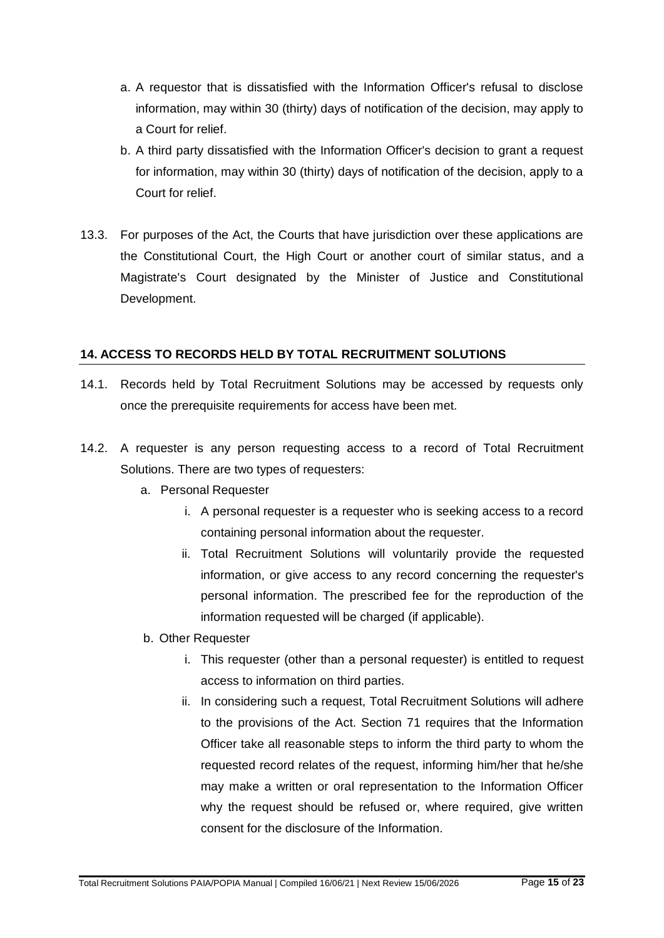- a. A requestor that is dissatisfied with the Information Officer's refusal to disclose information, may within 30 (thirty) days of notification of the decision, may apply to a Court for relief.
- b. A third party dissatisfied with the Information Officer's decision to grant a request for information, may within 30 (thirty) days of notification of the decision, apply to a Court for relief.
- 13.3. For purposes of the Act, the Courts that have jurisdiction over these applications are the Constitutional Court, the High Court or another court of similar status, and a Magistrate's Court designated by the Minister of Justice and Constitutional Development.

#### **14. ACCESS TO RECORDS HELD BY TOTAL RECRUITMENT SOLUTIONS**

- 14.1. Records held by Total Recruitment Solutions may be accessed by requests only once the prerequisite requirements for access have been met.
- 14.2. A requester is any person requesting access to a record of Total Recruitment Solutions. There are two types of requesters:
	- a. Personal Requester
		- i. A personal requester is a requester who is seeking access to a record containing personal information about the requester.
		- ii. Total Recruitment Solutions will voluntarily provide the requested information, or give access to any record concerning the requester's personal information. The prescribed fee for the reproduction of the information requested will be charged (if applicable).
	- b. Other Requester
		- i. This requester (other than a personal requester) is entitled to request access to information on third parties.
		- ii. In considering such a request, Total Recruitment Solutions will adhere to the provisions of the Act. Section 71 requires that the Information Officer take all reasonable steps to inform the third party to whom the requested record relates of the request, informing him/her that he/she may make a written or oral representation to the Information Officer why the request should be refused or, where required, give written consent for the disclosure of the Information.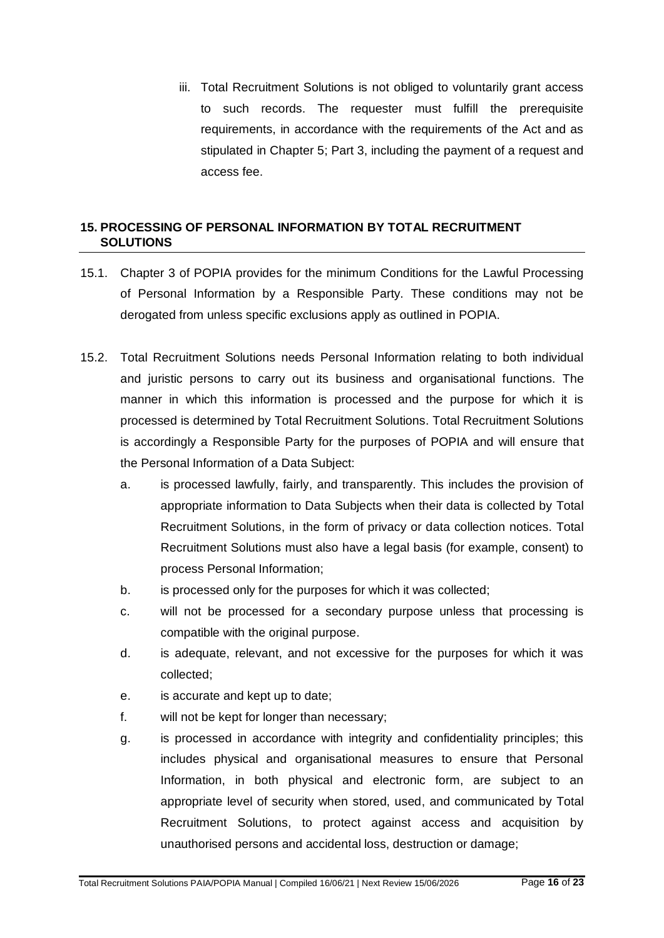iii. Total Recruitment Solutions is not obliged to voluntarily grant access to such records. The requester must fulfill the prerequisite requirements, in accordance with the requirements of the Act and as stipulated in Chapter 5; Part 3, including the payment of a request and access fee.

#### **15. PROCESSING OF PERSONAL INFORMATION BY TOTAL RECRUITMENT SOLUTIONS**

- 15.1. Chapter 3 of POPIA provides for the minimum Conditions for the Lawful Processing of Personal Information by a Responsible Party. These conditions may not be derogated from unless specific exclusions apply as outlined in POPIA.
- 15.2. Total Recruitment Solutions needs Personal Information relating to both individual and juristic persons to carry out its business and organisational functions. The manner in which this information is processed and the purpose for which it is processed is determined by Total Recruitment Solutions. Total Recruitment Solutions is accordingly a Responsible Party for the purposes of POPIA and will ensure that the Personal Information of a Data Subject:
	- a. is processed lawfully, fairly, and transparently. This includes the provision of appropriate information to Data Subjects when their data is collected by Total Recruitment Solutions, in the form of privacy or data collection notices. Total Recruitment Solutions must also have a legal basis (for example, consent) to process Personal Information;
	- b. is processed only for the purposes for which it was collected;
	- c. will not be processed for a secondary purpose unless that processing is compatible with the original purpose.
	- d. is adequate, relevant, and not excessive for the purposes for which it was collected;
	- e. is accurate and kept up to date;
	- f. will not be kept for longer than necessary;
	- g. is processed in accordance with integrity and confidentiality principles; this includes physical and organisational measures to ensure that Personal Information, in both physical and electronic form, are subject to an appropriate level of security when stored, used, and communicated by Total Recruitment Solutions, to protect against access and acquisition by unauthorised persons and accidental loss, destruction or damage;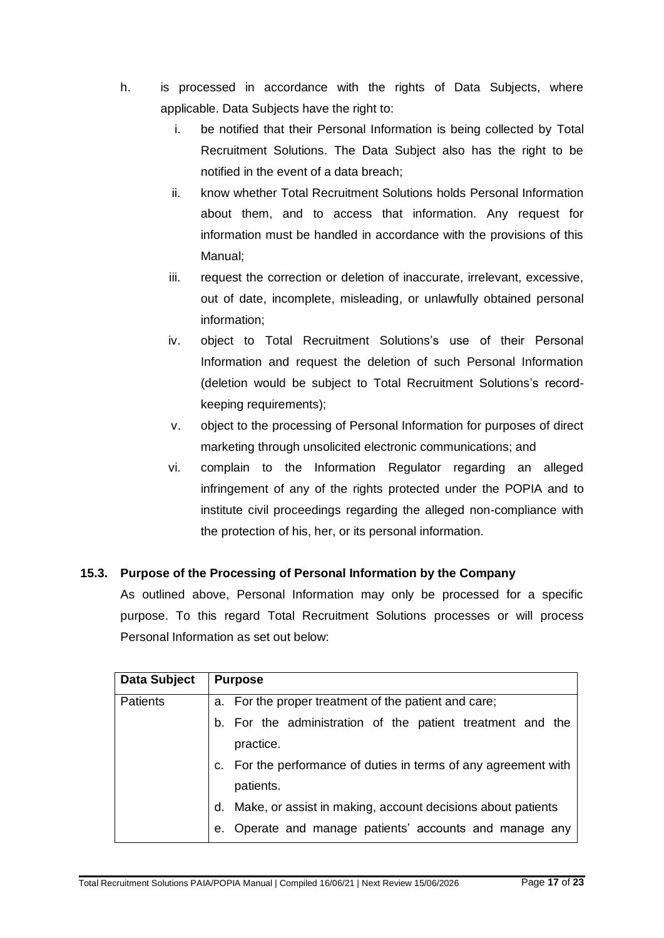- h. is processed in accordance with the rights of Data Subjects, where applicable. Data Subjects have the right to:
	- i. be notified that their Personal Information is being collected by Total Recruitment Solutions. The Data Subject also has the right to be notified in the event of a data breach;
	- ii. know whether Total Recruitment Solutions holds Personal Information about them, and to access that information. Any request for information must be handled in accordance with the provisions of this Manual;
	- iii. request the correction or deletion of inaccurate, irrelevant, excessive, out of date, incomplete, misleading, or unlawfully obtained personal information;
	- iv. object to Total Recruitment Solutions's use of their Personal Information and request the deletion of such Personal Information (deletion would be subject to Total Recruitment Solutions's recordkeeping requirements);
	- v. object to the processing of Personal Information for purposes of direct marketing through unsolicited electronic communications; and
	- vi. complain to the Information Regulator regarding an alleged infringement of any of the rights protected under the POPIA and to institute civil proceedings regarding the alleged non-compliance with the protection of his, her, or its personal information.

# **15.3. Purpose of the Processing of Personal Information by the Company**

As outlined above, Personal Information may only be processed for a specific purpose. To this regard Total Recruitment Solutions processes or will process Personal Information as set out below:

| Data Subject    | <b>Purpose</b>                                                                 |  |
|-----------------|--------------------------------------------------------------------------------|--|
| <b>Patients</b> | a. For the proper treatment of the patient and care;                           |  |
|                 | b. For the administration of the patient treatment and the                     |  |
|                 | practice.                                                                      |  |
|                 | For the performance of duties in terms of any agreement with<br>$\mathbf{C}$ . |  |
|                 | patients.                                                                      |  |
|                 | Make, or assist in making, account decisions about patients<br>d.              |  |
|                 | Operate and manage patients' accounts and manage any<br>е.                     |  |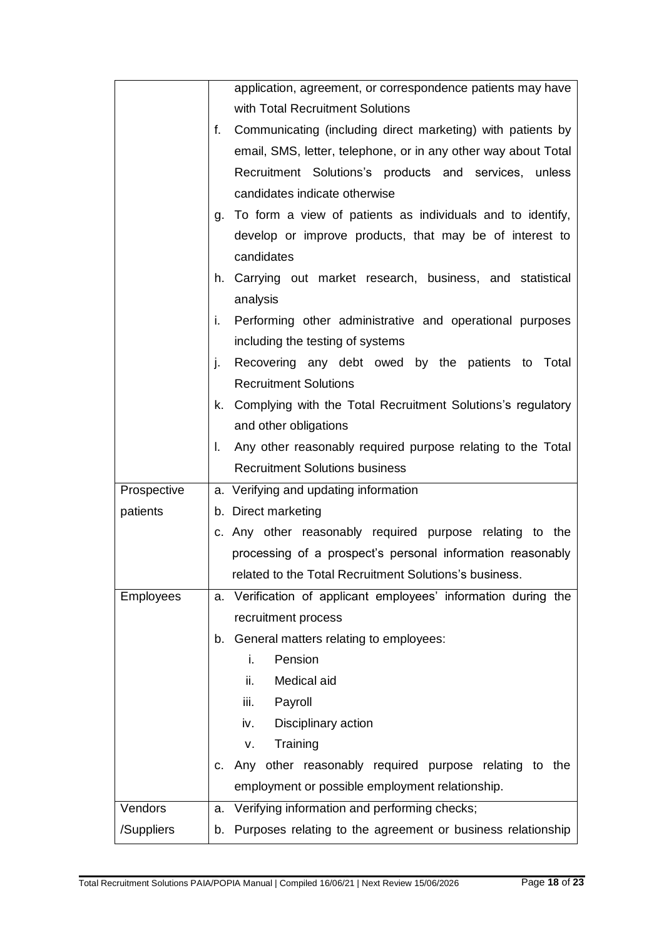|             |         | application, agreement, or correspondence patients may have    |
|-------------|---------|----------------------------------------------------------------|
|             |         | with Total Recruitment Solutions                               |
|             | f.      | Communicating (including direct marketing) with patients by    |
|             |         | email, SMS, letter, telephone, or in any other way about Total |
|             |         | Recruitment Solutions's products and services, unless          |
|             |         | candidates indicate otherwise                                  |
|             |         | g. To form a view of patients as individuals and to identify,  |
|             |         | develop or improve products, that may be of interest to        |
|             |         | candidates                                                     |
|             |         | h. Carrying out market research, business, and statistical     |
|             |         | analysis                                                       |
|             |         | i. Performing other administrative and operational purposes    |
|             |         | including the testing of systems                               |
|             | j.      | Recovering any debt owed by the patients to Total              |
|             |         | <b>Recruitment Solutions</b>                                   |
|             |         | k. Complying with the Total Recruitment Solutions's regulatory |
|             |         | and other obligations                                          |
|             |         | I. Any other reasonably required purpose relating to the Total |
|             |         | <b>Recruitment Solutions business</b>                          |
| Prospective |         | a. Verifying and updating information                          |
| patients    |         | b. Direct marketing                                            |
|             |         | c. Any other reasonably required purpose relating to the       |
|             |         | processing of a prospect's personal information reasonably     |
|             |         | related to the Total Recruitment Solutions's business.         |
| Employees   |         | a. Verification of applicant employees' information during the |
|             |         | recruitment process                                            |
|             | b.      | General matters relating to employees:                         |
|             |         |                                                                |
|             |         | Pension<br>i.                                                  |
|             |         | ii.<br>Medical aid                                             |
|             |         | iii.<br>Payroll                                                |
|             |         | Disciplinary action<br>iv.                                     |
|             |         | Training<br>ν.                                                 |
|             | $C_{1}$ | Any other reasonably required purpose relating to the          |
|             |         | employment or possible employment relationship.                |
| Vendors     | a.      | Verifying information and performing checks;                   |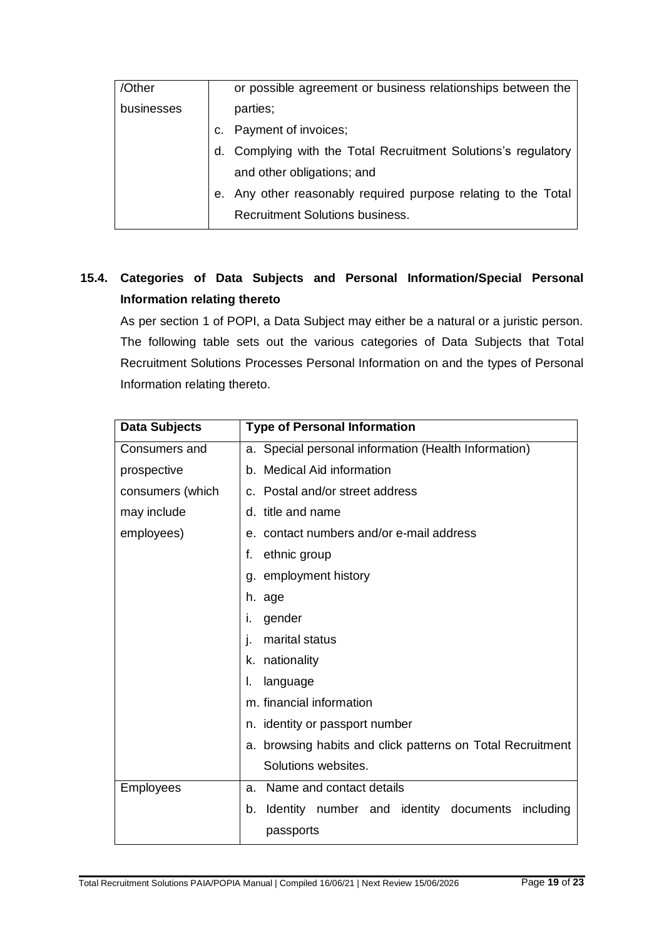| /Other     |    | or possible agreement or business relationships between the    |
|------------|----|----------------------------------------------------------------|
| businesses |    | parties;                                                       |
|            |    | Payment of invoices;                                           |
|            |    | d. Complying with the Total Recruitment Solutions's regulatory |
|            |    | and other obligations; and                                     |
|            | е. | Any other reasonably required purpose relating to the Total    |
|            |    | <b>Recruitment Solutions business.</b>                         |

# **15.4. Categories of Data Subjects and Personal Information/Special Personal Information relating thereto**

As per section 1 of POPI, a Data Subject may either be a natural or a juristic person. The following table sets out the various categories of Data Subjects that Total Recruitment Solutions Processes Personal Information on and the types of Personal Information relating thereto.

| <b>Data Subjects</b> | <b>Type of Personal Information</b>                        |
|----------------------|------------------------------------------------------------|
| Consumers and        | a. Special personal information (Health Information)       |
| prospective          | b. Medical Aid information                                 |
| consumers (which     | c. Postal and/or street address                            |
| may include          | d. title and name                                          |
| employees)           | e. contact numbers and/or e-mail address                   |
|                      | ethnic group<br>f.                                         |
|                      | g. employment history                                      |
|                      | h. age                                                     |
|                      | gender<br>Τ.                                               |
|                      | marital status                                             |
|                      | k. nationality                                             |
|                      | language<br>I.                                             |
|                      | m. financial information                                   |
|                      | n. identity or passport number                             |
|                      | a. browsing habits and click patterns on Total Recruitment |
|                      | Solutions websites.                                        |
| <b>Employees</b>     | Name and contact details<br>a.                             |
|                      | Identity number and identity documents<br>including<br>b.  |
|                      | passports                                                  |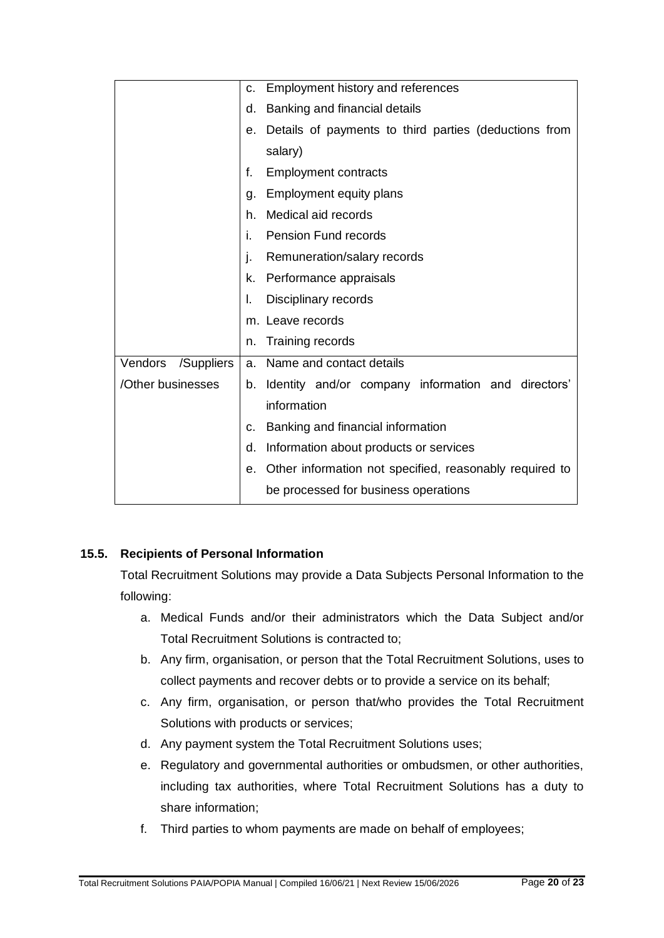|                       | C. | Employment history and references                       |
|-----------------------|----|---------------------------------------------------------|
|                       | d. | Banking and financial details                           |
|                       | е. | Details of payments to third parties (deductions from   |
|                       |    | salary)                                                 |
|                       | f. | <b>Employment contracts</b>                             |
|                       | g. | Employment equity plans                                 |
|                       | h. | Medical aid records                                     |
|                       | i. | <b>Pension Fund records</b>                             |
|                       | j. | Remuneration/salary records                             |
|                       | k. | Performance appraisals                                  |
|                       | I. | Disciplinary records                                    |
|                       |    | m. Leave records                                        |
|                       | n. | Training records                                        |
| Vendors<br>/Suppliers |    | a. Name and contact details                             |
| /Other businesses     | b. | Identity and/or company information and directors'      |
|                       |    | information                                             |
|                       | c. | Banking and financial information                       |
|                       | d. | Information about products or services                  |
|                       | е. | Other information not specified, reasonably required to |
|                       |    | be processed for business operations                    |

# **15.5. Recipients of Personal Information**

Total Recruitment Solutions may provide a Data Subjects Personal Information to the following:

- a. Medical Funds and/or their administrators which the Data Subject and/or Total Recruitment Solutions is contracted to;
- b. Any firm, organisation, or person that the Total Recruitment Solutions, uses to collect payments and recover debts or to provide a service on its behalf;
- c. Any firm, organisation, or person that/who provides the Total Recruitment Solutions with products or services;
- d. Any payment system the Total Recruitment Solutions uses;
- e. Regulatory and governmental authorities or ombudsmen, or other authorities, including tax authorities, where Total Recruitment Solutions has a duty to share information;
- f. Third parties to whom payments are made on behalf of employees;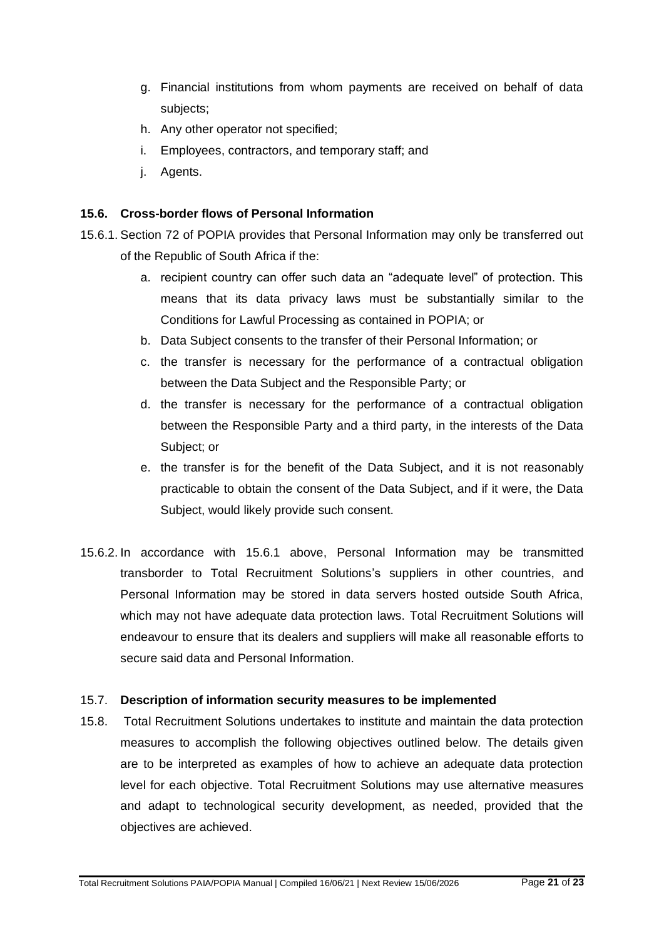- g. Financial institutions from whom payments are received on behalf of data subjects;
- h. Any other operator not specified;
- i. Employees, contractors, and temporary staff; and
- j. Agents.

#### **15.6. Cross-border flows of Personal Information**

- 15.6.1. Section 72 of POPIA provides that Personal Information may only be transferred out of the Republic of South Africa if the:
	- a. recipient country can offer such data an "adequate level" of protection. This means that its data privacy laws must be substantially similar to the Conditions for Lawful Processing as contained in POPIA; or
	- b. Data Subject consents to the transfer of their Personal Information; or
	- c. the transfer is necessary for the performance of a contractual obligation between the Data Subject and the Responsible Party; or
	- d. the transfer is necessary for the performance of a contractual obligation between the Responsible Party and a third party, in the interests of the Data Subject; or
	- e. the transfer is for the benefit of the Data Subject, and it is not reasonably practicable to obtain the consent of the Data Subject, and if it were, the Data Subject, would likely provide such consent.
- 15.6.2. In accordance with 15.6.1 above, Personal Information may be transmitted transborder to Total Recruitment Solutions's suppliers in other countries, and Personal Information may be stored in data servers hosted outside South Africa, which may not have adequate data protection laws. Total Recruitment Solutions will endeavour to ensure that its dealers and suppliers will make all reasonable efforts to secure said data and Personal Information.

#### 15.7. **Description of information security measures to be implemented**

15.8. Total Recruitment Solutions undertakes to institute and maintain the data protection measures to accomplish the following objectives outlined below. The details given are to be interpreted as examples of how to achieve an adequate data protection level for each objective. Total Recruitment Solutions may use alternative measures and adapt to technological security development, as needed, provided that the objectives are achieved.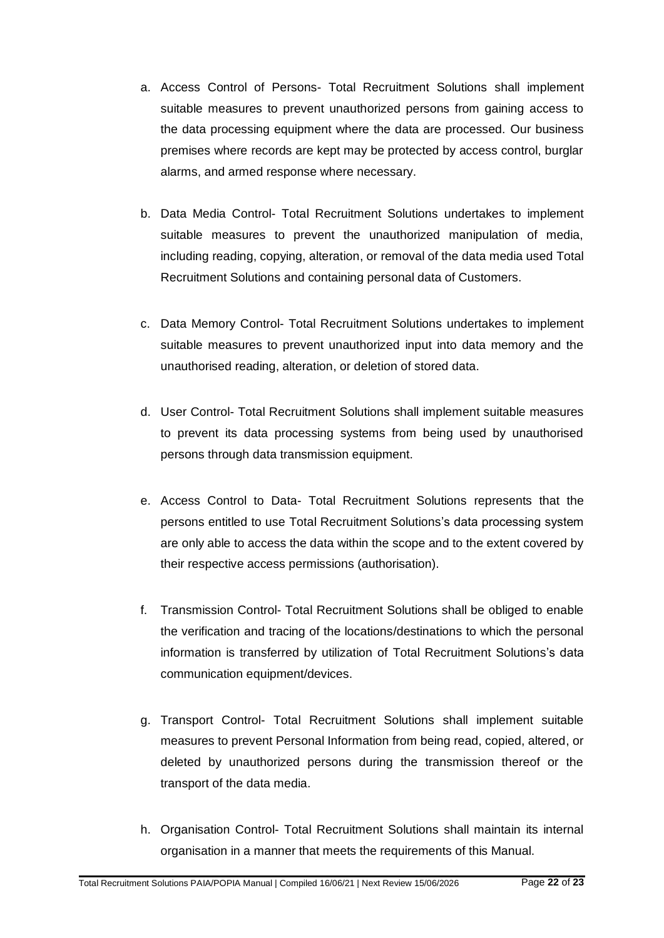- a. Access Control of Persons- Total Recruitment Solutions shall implement suitable measures to prevent unauthorized persons from gaining access to the data processing equipment where the data are processed. Our business premises where records are kept may be protected by access control, burglar alarms, and armed response where necessary.
- b. Data Media Control- Total Recruitment Solutions undertakes to implement suitable measures to prevent the unauthorized manipulation of media, including reading, copying, alteration, or removal of the data media used Total Recruitment Solutions and containing personal data of Customers.
- c. Data Memory Control- Total Recruitment Solutions undertakes to implement suitable measures to prevent unauthorized input into data memory and the unauthorised reading, alteration, or deletion of stored data.
- d. User Control- Total Recruitment Solutions shall implement suitable measures to prevent its data processing systems from being used by unauthorised persons through data transmission equipment.
- e. Access Control to Data- Total Recruitment Solutions represents that the persons entitled to use Total Recruitment Solutions's data processing system are only able to access the data within the scope and to the extent covered by their respective access permissions (authorisation).
- f. Transmission Control- Total Recruitment Solutions shall be obliged to enable the verification and tracing of the locations/destinations to which the personal information is transferred by utilization of Total Recruitment Solutions's data communication equipment/devices.
- g. Transport Control- Total Recruitment Solutions shall implement suitable measures to prevent Personal Information from being read, copied, altered, or deleted by unauthorized persons during the transmission thereof or the transport of the data media.
- h. Organisation Control- Total Recruitment Solutions shall maintain its internal organisation in a manner that meets the requirements of this Manual.